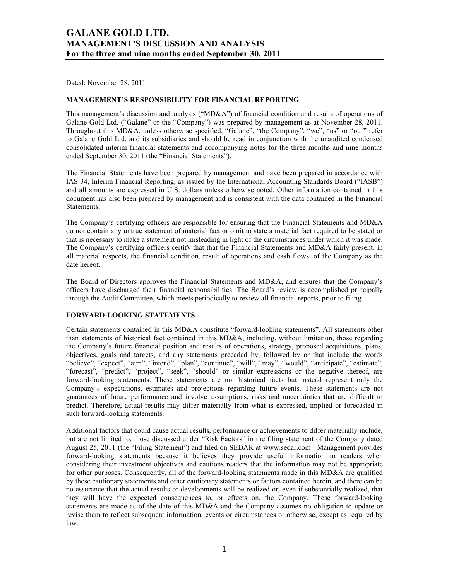Dated: November 28, 2011

## **MANAGEMENT'S RESPONSIBILITY FOR FINANCIAL REPORTING**

This management's discussion and analysis ("MD&A") of financial condition and results of operations of Galane Gold Ltd. ("Galane" or the "Company") was prepared by management as at November 28, 2011. Throughout this MD&A, unless otherwise specified, "Galane", "the Company", "we", "us" or "our" refer to Galane Gold Ltd. and its subsidiaries and should be read in conjunction with the unaudited condensed consolidated interim financial statements and accompanying notes for the three months and nine months ended September 30, 2011 (the "Financial Statements").

The Financial Statements have been prepared by management and have been prepared in accordance with IAS 34, Interim Financial Reporting, as issued by the International Accounting Standards Board ("IASB") and all amounts are expressed in U.S. dollars unless otherwise noted. Other information contained in this document has also been prepared by management and is consistent with the data contained in the Financial Statements.

The Company's certifying officers are responsible for ensuring that the Financial Statements and MD&A do not contain any untrue statement of material fact or omit to state a material fact required to be stated or that is necessary to make a statement not misleading in light of the circumstances under which it was made. The Company's certifying officers certify that that the Financial Statements and MD&A fairly present, in all material respects, the financial condition, result of operations and cash flows, of the Company as the date hereof.

The Board of Directors approves the Financial Statements and MD&A, and ensures that the Company's officers have discharged their financial responsibilities. The Board's review is accomplished principally through the Audit Committee, which meets periodically to review all financial reports, prior to filing.

# **FORWARD-LOOKING STATEMENTS**

Certain statements contained in this MD&A constitute "forward-looking statements". All statements other than statements of historical fact contained in this MD&A, including, without limitation, those regarding the Company's future financial position and results of operations, strategy, proposed acquisitions, plans, objectives, goals and targets, and any statements preceded by, followed by or that include the words "believe", "expect", "aim", "intend", "plan", "continue", "will", "may", "would", "anticipate", "estimate", "forecast", "predict", "project", "seek", "should" or similar expressions or the negative thereof, are forward-looking statements. These statements are not historical facts but instead represent only the Company's expectations, estimates and projections regarding future events. These statements are not guarantees of future performance and involve assumptions, risks and uncertainties that are difficult to predict. Therefore, actual results may differ materially from what is expressed, implied or forecasted in such forward-looking statements.

Additional factors that could cause actual results, performance or achievements to differ materially include, but are not limited to, those discussed under "Risk Factors" in the filing statement of the Company dated August 25, 2011 (the "Filing Statement") and filed on SEDAR at www.sedar.com . Management provides forward-looking statements because it believes they provide useful information to readers when considering their investment objectives and cautions readers that the information may not be appropriate for other purposes. Consequently, all of the forward-looking statements made in this MD&A are qualified by these cautionary statements and other cautionary statements or factors contained herein, and there can be no assurance that the actual results or developments will be realized or, even if substantially realized, that they will have the expected consequences to, or effects on, the Company. These forward-looking statements are made as of the date of this MD&A and the Company assumes no obligation to update or revise them to reflect subsequent information, events or circumstances or otherwise, except as required by law.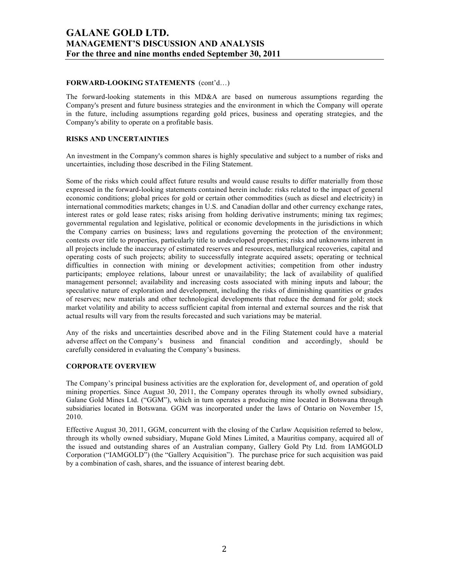# **FORWARD-LOOKING STATEMENTS** (cont'd…)

The forward-looking statements in this MD&A are based on numerous assumptions regarding the Company's present and future business strategies and the environment in which the Company will operate in the future, including assumptions regarding gold prices, business and operating strategies, and the Company's ability to operate on a profitable basis.

# **RISKS AND UNCERTAINTIES**

An investment in the Company's common shares is highly speculative and subject to a number of risks and uncertainties, including those described in the Filing Statement.

Some of the risks which could affect future results and would cause results to differ materially from those expressed in the forward-looking statements contained herein include: risks related to the impact of general economic conditions; global prices for gold or certain other commodities (such as diesel and electricity) in international commodities markets; changes in U.S. and Canadian dollar and other currency exchange rates, interest rates or gold lease rates; risks arising from holding derivative instruments; mining tax regimes; governmental regulation and legislative, political or economic developments in the jurisdictions in which the Company carries on business; laws and regulations governing the protection of the environment; contests over title to properties, particularly title to undeveloped properties; risks and unknowns inherent in all projects include the inaccuracy of estimated reserves and resources, metallurgical recoveries, capital and operating costs of such projects; ability to successfully integrate acquired assets; operating or technical difficulties in connection with mining or development activities; competition from other industry participants; employee relations, labour unrest or unavailability; the lack of availability of qualified management personnel; availability and increasing costs associated with mining inputs and labour; the speculative nature of exploration and development, including the risks of diminishing quantities or grades of reserves; new materials and other technological developments that reduce the demand for gold; stock market volatility and ability to access sufficient capital from internal and external sources and the risk that actual results will vary from the results forecasted and such variations may be material.

Any of the risks and uncertainties described above and in the Filing Statement could have a material adverse affect on the Company's business and financial condition and accordingly, should be carefully considered in evaluating the Company's business.

#### **CORPORATE OVERVIEW**

The Company's principal business activities are the exploration for, development of, and operation of gold mining properties. Since August 30, 2011, the Company operates through its wholly owned subsidiary, Galane Gold Mines Ltd. ("GGM"), which in turn operates a producing mine located in Botswana through subsidiaries located in Botswana. GGM was incorporated under the laws of Ontario on November 15, 2010.

Effective August 30, 2011, GGM, concurrent with the closing of the Carlaw Acquisition referred to below, through its wholly owned subsidiary, Mupane Gold Mines Limited, a Mauritius company, acquired all of the issued and outstanding shares of an Australian company, Gallery Gold Pty Ltd. from IAMGOLD Corporation ("IAMGOLD") (the "Gallery Acquisition"). The purchase price for such acquisition was paid by a combination of cash, shares, and the issuance of interest bearing debt.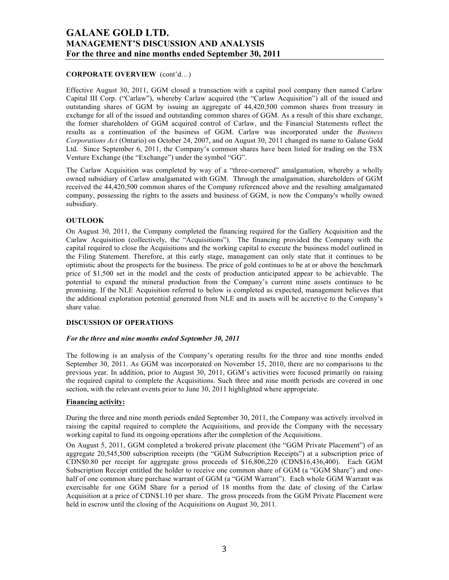# **CORPORATE OVERVIEW** (cont'd…)

Effective August 30, 2011, GGM closed a transaction with a capital pool company then named Carlaw Capital III Corp. ("Carlaw"), whereby Carlaw acquired (the "Carlaw Acquisition") all of the issued and outstanding shares of GGM by issuing an aggregate of 44,420,500 common shares from treasury in exchange for all of the issued and outstanding common shares of GGM. As a result of this share exchange, the former shareholders of GGM acquired control of Carlaw, and the Financial Statements reflect the results as a continuation of the business of GGM. Carlaw was incorporated under the *Business Corporations Act* (Ontario) on October 24, 2007, and on August 30, 2011 changed its name to Galane Gold Ltd. Since September 6, 2011, the Company's common shares have been listed for trading on the TSX Venture Exchange (the "Exchange") under the symbol "GG".

The Carlaw Acquisition was completed by way of a "three-cornered" amalgamation, whereby a wholly owned subsidiary of Carlaw amalgamated with GGM. Through the amalgamation, shareholders of GGM received the 44,420,500 common shares of the Company referenced above and the resulting amalgamated company, possessing the rights to the assets and business of GGM, is now the Company's wholly owned subsidiary.

## **OUTLOOK**

On August 30, 2011, the Company completed the financing required for the Gallery Acquisition and the Carlaw Acquisition (collectively, the "Acquisitions"). The financing provided the Company with the capital required to close the Acquisitions and the working capital to execute the business model outlined in the Filing Statement. Therefore, at this early stage, management can only state that it continues to be optimistic about the prospects for the business. The price of gold continues to be at or above the benchmark price of \$1,500 set in the model and the costs of production anticipated appear to be achievable. The potential to expand the mineral production from the Company's current mine assets continues to be promising. If the NLE Acquisition referred to below is completed as expected, management believes that the additional exploration potential generated from NLE and its assets will be accretive to the Company's share value.

# **DISCUSSION OF OPERATIONS**

#### *For the three and nine months ended September 30, 2011*

The following is an analysis of the Company's operating results for the three and nine months ended September 30, 2011. As GGM was incorporated on November 15, 2010, there are no comparisons to the previous year. In addition, prior to August 30, 2011, GGM's activities were focused primarily on raising the required capital to complete the Acquisitions. Such three and nine month periods are covered in one section, with the relevant events prior to June 30, 2011 highlighted where appropriate.

# **Financing activity:**

During the three and nine month periods ended September 30, 2011, the Company was actively involved in raising the capital required to complete the Acquisitions, and provide the Company with the necessary working capital to fund its ongoing operations after the completion of the Acquisitions.

On August 5, 2011, GGM completed a brokered private placement (the "GGM Private Placement") of an aggregate 20,545,500 subscription receipts (the "GGM Subscription Receipts") at a subscription price of CDN\$0.80 per receipt for aggregate gross proceeds of \$16,806,220 (CDN\$16,436,400). Each GGM Subscription Receipt entitled the holder to receive one common share of GGM (a "GGM Share") and onehalf of one common share purchase warrant of GGM (a "GGM Warrant"). Each whole GGM Warrant was exercisable for one GGM Share for a period of 18 months from the date of closing of the Carlaw Acquisition at a price of CDN\$1.10 per share. The gross proceeds from the GGM Private Placement were held in escrow until the closing of the Acquisitions on August 30, 2011.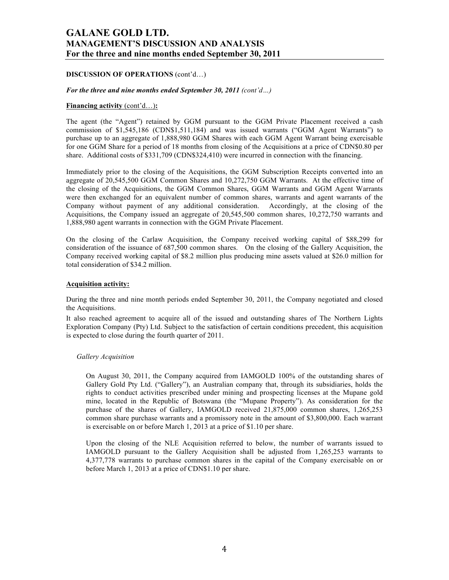## **DISCUSSION OF OPERATIONS** (cont'd…)

#### *For the three and nine months ended September 30, 2011 (cont'd…)*

#### **Financing activity** (cont'd…)**:**

The agent (the "Agent") retained by GGM pursuant to the GGM Private Placement received a cash commission of \$1,545,186 (CDN\$1,511,184) and was issued warrants ("GGM Agent Warrants") to purchase up to an aggregate of 1,888,980 GGM Shares with each GGM Agent Warrant being exercisable for one GGM Share for a period of 18 months from closing of the Acquisitions at a price of CDN\$0.80 per share. Additional costs of \$331,709 (CDN\$324,410) were incurred in connection with the financing.

Immediately prior to the closing of the Acquisitions, the GGM Subscription Receipts converted into an aggregate of 20,545,500 GGM Common Shares and 10,272,750 GGM Warrants. At the effective time of the closing of the Acquisitions, the GGM Common Shares, GGM Warrants and GGM Agent Warrants were then exchanged for an equivalent number of common shares, warrants and agent warrants of the Company without payment of any additional consideration. Accordingly, at the closing of the Acquisitions, the Company issued an aggregate of 20,545,500 common shares, 10,272,750 warrants and 1,888,980 agent warrants in connection with the GGM Private Placement.

On the closing of the Carlaw Acquisition, the Company received working capital of \$88,299 for consideration of the issuance of 687,500 common shares. On the closing of the Gallery Acquisition, the Company received working capital of \$8.2 million plus producing mine assets valued at \$26.0 million for total consideration of \$34.2 million.

#### **Acquisition activity:**

During the three and nine month periods ended September 30, 2011, the Company negotiated and closed the Acquisitions.

It also reached agreement to acquire all of the issued and outstanding shares of The Northern Lights Exploration Company (Pty) Ltd. Subject to the satisfaction of certain conditions precedent, this acquisition is expected to close during the fourth quarter of 2011.

#### *Gallery Acquisition*

On August 30, 2011, the Company acquired from IAMGOLD 100% of the outstanding shares of Gallery Gold Pty Ltd. ("Gallery"), an Australian company that, through its subsidiaries, holds the rights to conduct activities prescribed under mining and prospecting licenses at the Mupane gold mine, located in the Republic of Botswana (the "Mupane Property"). As consideration for the purchase of the shares of Gallery, IAMGOLD received 21,875,000 common shares, 1,265,253 common share purchase warrants and a promissory note in the amount of \$3,800,000. Each warrant is exercisable on or before March 1, 2013 at a price of \$1.10 per share.

Upon the closing of the NLE Acquisition referred to below, the number of warrants issued to IAMGOLD pursuant to the Gallery Acquisition shall be adjusted from 1,265,253 warrants to 4,377,778 warrants to purchase common shares in the capital of the Company exercisable on or before March 1, 2013 at a price of CDN\$1.10 per share.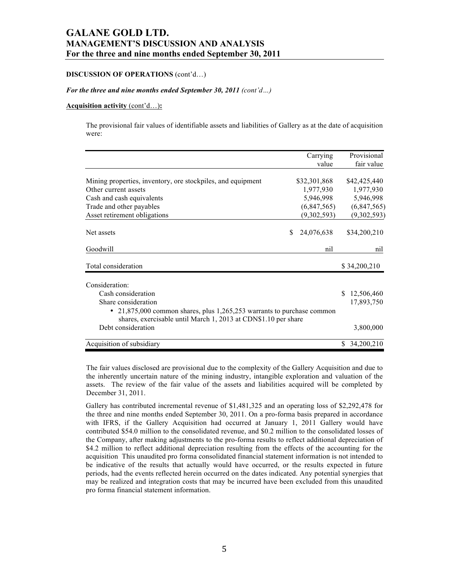## **DISCUSSION OF OPERATIONS** (cont'd…)

#### *For the three and nine months ended September 30, 2011 (cont'd…)*

#### **Acquisition activity** (cont'd…)**:**

The provisional fair values of identifiable assets and liabilities of Gallery as at the date of acquisition were:

|                                                                        |     | Carrying     |     | Provisional  |
|------------------------------------------------------------------------|-----|--------------|-----|--------------|
|                                                                        |     | value        |     | fair value   |
|                                                                        |     |              |     |              |
| Mining properties, inventory, ore stockpiles, and equipment            |     | \$32,301,868 |     | \$42,425,440 |
| Other current assets                                                   |     | 1,977,930    |     | 1,977,930    |
| Cash and cash equivalents                                              |     | 5,946,998    |     | 5,946,998    |
| Trade and other payables                                               |     | (6,847,565)  |     | (6,847,565)  |
| Asset retirement obligations                                           |     | (9,302,593)  |     | (9,302,593)  |
| Net assets                                                             | \$. | 24,076,638   |     | \$34,200,210 |
| Goodwill                                                               |     | nil          |     | nil          |
| Total consideration                                                    |     |              |     | \$34,200,210 |
| Consideration:                                                         |     |              |     |              |
| Cash consideration                                                     |     |              | \$. | 12,506,460   |
| Share consideration                                                    |     |              |     | 17,893,750   |
|                                                                        |     |              |     |              |
| • 21,875,000 common shares, plus 1,265,253 warrants to purchase common |     |              |     |              |
| shares, exercisable until March 1, 2013 at CDN\$1.10 per share         |     |              |     |              |
| Debt consideration                                                     |     |              |     | 3,800,000    |
| Acquisition of subsidiary                                              |     |              | \$. | 34,200,210   |

The fair values disclosed are provisional due to the complexity of the Gallery Acquisition and due to the inherently uncertain nature of the mining industry, intangible exploration and valuation of the assets. The review of the fair value of the assets and liabilities acquired will be completed by December 31, 2011.

Gallery has contributed incremental revenue of \$1,481,325 and an operating loss of \$2,292,478 for the three and nine months ended September 30, 2011. On a pro-forma basis prepared in accordance with IFRS, if the Gallery Acquisition had occurred at January 1, 2011 Gallery would have contributed \$54.0 million to the consolidated revenue, and \$0.2 million to the consolidated losses of the Company, after making adjustments to the pro-forma results to reflect additional depreciation of \$4.2 million to reflect additional depreciation resulting from the effects of the accounting for the acquisition This unaudited pro forma consolidated financial statement information is not intended to be indicative of the results that actually would have occurred, or the results expected in future periods, had the events reflected herein occurred on the dates indicated. Any potential synergies that may be realized and integration costs that may be incurred have been excluded from this unaudited pro forma financial statement information.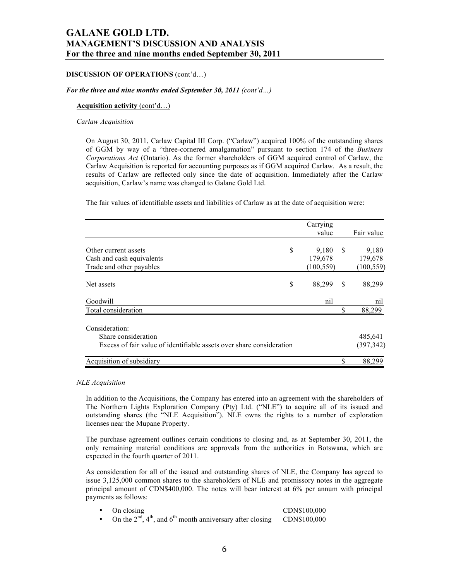## **DISCUSSION OF OPERATIONS** (cont'd…)

#### *For the three and nine months ended September 30, 2011 (cont'd…)*

#### **Acquisition activity** (cont'd…)

*Carlaw Acquisition*

On August 30, 2011, Carlaw Capital III Corp. ("Carlaw") acquired 100% of the outstanding shares of GGM by way of a "three-cornered amalgamation" pursuant to section 174 of the *Business Corporations Act* (Ontario). As the former shareholders of GGM acquired control of Carlaw, the Carlaw Acquisition is reported for accounting purposes as if GGM acquired Carlaw. As a result, the results of Carlaw are reflected only since the date of acquisition. Immediately after the Carlaw acquisition, Carlaw's name was changed to Galane Gold Ltd.

The fair values of identifiable assets and liabilities of Carlaw as at the date of acquisition were:

|                                                                      | Carrying     |               |            |
|----------------------------------------------------------------------|--------------|---------------|------------|
|                                                                      | value        |               | Fair value |
| Other current assets                                                 | \$<br>9,180  | <sup>\$</sup> | 9,180      |
| Cash and cash equivalents                                            | 179,678      |               | 179,678    |
| Trade and other payables                                             | (100, 559)   |               | (100, 559) |
| Net assets                                                           | \$<br>88,299 | S             | 88,299     |
| Goodwill                                                             | nil          |               | nil        |
| Total consideration                                                  |              | \$            | 88,299     |
| Consideration:                                                       |              |               |            |
| Share consideration                                                  |              |               | 485,641    |
| Excess of fair value of identifiable assets over share consideration |              |               | (397, 342) |
| Acquisition of subsidiary                                            |              | \$            | 88,299     |

#### *NLE Acquisition*

In addition to the Acquisitions, the Company has entered into an agreement with the shareholders of The Northern Lights Exploration Company (Pty) Ltd. ("NLE") to acquire all of its issued and outstanding shares (the "NLE Acquisition"). NLE owns the rights to a number of exploration licenses near the Mupane Property.

The purchase agreement outlines certain conditions to closing and, as at September 30, 2011, the only remaining material conditions are approvals from the authorities in Botswana, which are expected in the fourth quarter of 2011.

As consideration for all of the issued and outstanding shares of NLE, the Company has agreed to issue 3,125,000 common shares to the shareholders of NLE and promissory notes in the aggregate principal amount of CDN\$400,000. The notes will bear interest at 6% per annum with principal payments as follows:

| On closing                                                       | CDN\$100,000 |
|------------------------------------------------------------------|--------------|
| On the $2nd$ , $4th$ , and $6th$ month anniversary after closing | CDN\$100,000 |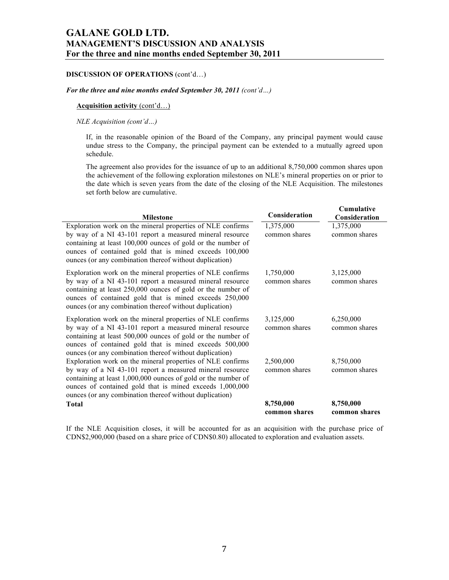# **DISCUSSION OF OPERATIONS** (cont'd…)

#### *For the three and nine months ended September 30, 2011 (cont'd…)*

#### **Acquisition activity** (cont'd…)

# *NLE Acquisition (cont'd…)*

If, in the reasonable opinion of the Board of the Company, any principal payment would cause undue stress to the Company, the principal payment can be extended to a mutually agreed upon schedule.

The agreement also provides for the issuance of up to an additional 8,750,000 common shares upon the achievement of the following exploration milestones on NLE's mineral properties on or prior to the date which is seven years from the date of the closing of the NLE Acquisition. The milestones set forth below are cumulative.

| <b>Milestone</b>                                                                                                                                                                                                                                                                                               | <b>Consideration</b>       | <b>Cumulative</b><br>Consideration |
|----------------------------------------------------------------------------------------------------------------------------------------------------------------------------------------------------------------------------------------------------------------------------------------------------------------|----------------------------|------------------------------------|
| Exploration work on the mineral properties of NLE confirms<br>by way of a NI 43-101 report a measured mineral resource<br>containing at least 100,000 ounces of gold or the number of<br>ounces of contained gold that is mined exceeds 100,000<br>ounces (or any combination thereof without duplication)     | 1,375,000<br>common shares | 1,375,000<br>common shares         |
| Exploration work on the mineral properties of NLE confirms<br>by way of a NI 43-101 report a measured mineral resource<br>containing at least 250,000 ounces of gold or the number of<br>ounces of contained gold that is mined exceeds 250,000<br>ounces (or any combination thereof without duplication)     | 1,750,000<br>common shares | 3,125,000<br>common shares         |
| Exploration work on the mineral properties of NLE confirms<br>by way of a NI 43-101 report a measured mineral resource<br>containing at least 500,000 ounces of gold or the number of<br>ounces of contained gold that is mined exceeds 500,000<br>ounces (or any combination thereof without duplication)     | 3,125,000<br>common shares | 6,250,000<br>common shares         |
| Exploration work on the mineral properties of NLE confirms<br>by way of a NI 43-101 report a measured mineral resource<br>containing at least 1,000,000 ounces of gold or the number of<br>ounces of contained gold that is mined exceeds 1,000,000<br>ounces (or any combination thereof without duplication) | 2,500,000<br>common shares | 8,750,000<br>common shares         |
| <b>Total</b>                                                                                                                                                                                                                                                                                                   | 8,750,000<br>common shares | 8,750,000<br>common shares         |

If the NLE Acquisition closes, it will be accounted for as an acquisition with the purchase price of CDN\$2,900,000 (based on a share price of CDN\$0.80) allocated to exploration and evaluation assets.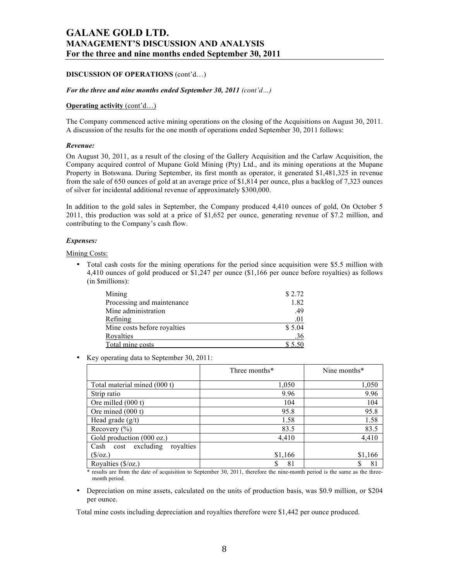# **DISCUSSION OF OPERATIONS** (cont'd…)

#### *For the three and nine months ended September 30, 2011 (cont'd…)*

#### **Operating activity** (cont'd…)

The Company commenced active mining operations on the closing of the Acquisitions on August 30, 2011. A discussion of the results for the one month of operations ended September 30, 2011 follows:

## *Revenue:*

On August 30, 2011, as a result of the closing of the Gallery Acquisition and the Carlaw Acquisition, the Company acquired control of Mupane Gold Mining (Pty) Ltd., and its mining operations at the Mupane Property in Botswana. During September, its first month as operator, it generated \$1,481,325 in revenue from the sale of 650 ounces of gold at an average price of \$1,814 per ounce, plus a backlog of 7,323 ounces of silver for incidental additional revenue of approximately \$300,000.

In addition to the gold sales in September, the Company produced 4,410 ounces of gold, On October 5 2011, this production was sold at a price of \$1,652 per ounce, generating revenue of \$7.2 million, and contributing to the Company's cash flow.

#### *Expenses:*

Mining Costs:

• Total cash costs for the mining operations for the period since acquisition were \$5.5 million with 4,410 ounces of gold produced or \$1,247 per ounce (\$1,166 per ounce before royalties) as follows (in \$millions):

| Mining                      | \$2.72 |
|-----------------------------|--------|
| Processing and maintenance  | 1.82   |
| Mine administration         | .49    |
| Refining                    | .01    |
| Mine costs before royalties | \$5.04 |
| Royalties                   | .36    |
| Total mine costs            | \$5.50 |

• Key operating data to September 30, 2011:

|                                        | Three months* | Nine months* |
|----------------------------------------|---------------|--------------|
| Total material mined (000 t)           | 1,050         | 1,050        |
| Strip ratio                            | 9.96          | 9.96         |
| Ore milled (000 t)                     | 104           | 104          |
| Ore mined (000 t)                      | 95.8          | 95.8         |
| Head grade $(g/t)$                     | 1.58          | 1.58         |
| Recovery $(\% )$                       | 83.5          | 83.5         |
| Gold production (000 oz.)              | 4,410         | 4,410        |
| royalties<br>excluding<br>Cash<br>cost |               |              |
| $(\sqrt{$}$ /oz.)                      | \$1,166       | \$1,166      |
| Royalties $(\frac{5}{oz})$             | 81            | 81           |

\* results are from the date of acquisition to September 30, 2011, therefore the nine-month period is the same as the threemonth period.

• Depreciation on mine assets, calculated on the units of production basis, was \$0.9 million, or \$204 per ounce.

Total mine costs including depreciation and royalties therefore were \$1,442 per ounce produced.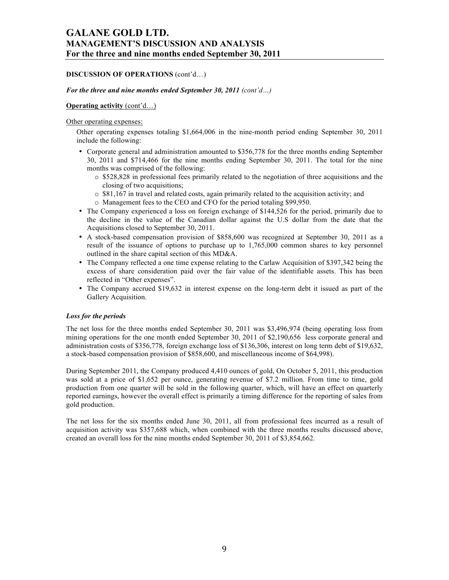## **DISCUSSION OF OPERATIONS** (cont'd…)

#### *For the three and nine months ended September 30, 2011 (cont'd…)*

#### **Operating activity** (cont'd…)

#### Other operating expenses:

Other operating expenses totaling \$1,664,006 in the nine-month period ending September 30, 2011 include the following:

- Corporate general and administration amounted to \$356,778 for the three months ending September 30, 2011 and \$714,466 for the nine months ending September 30, 2011. The total for the nine months was comprised of the following:
	- o \$528,828 in professional fees primarily related to the negotiation of three acquisitions and the closing of two acquisitions;
	- $\circ$  \$81,167 in travel and related costs, again primarily related to the acquisition activity; and
	- o Management fees to the CEO and CFO for the period totaling \$99,950.
- The Company experienced a loss on foreign exchange of \$144,526 for the period, primarily due to the decline in the value of the Canadian dollar against the U.S dollar from the date that the Acquisitions closed to September 30, 2011.
- A stock-based compensation provision of \$858,600 was recognized at September 30, 2011 as a result of the issuance of options to purchase up to 1,765,000 common shares to key personnel outlined in the share capital section of this MD&A.
- The Company reflected a one time expense relating to the Carlaw Acquisition of \$397,342 being the excess of share consideration paid over the fair value of the identifiable assets. This has been reflected in "Other expenses".
- The Company accrued \$19,632 in interest expense on the long-term debt it issued as part of the Gallery Acquisition.

#### *Loss for the periods*

The net loss for the three months ended September 30, 2011 was \$3,496,974 (being operating loss from mining operations for the one month ended September 30, 2011 of \$2,190,656 less corporate general and administration costs of \$356,778, foreign exchange loss of \$136,306, interest on long term debt of \$19,632, a stock-based compensation provision of \$858,600, and miscellaneous income of \$64,998).

During September 2011, the Company produced 4,410 ounces of gold, On October 5, 2011, this production was sold at a price of \$1,652 per ounce, generating revenue of \$7.2 million. From time to time, gold production from one quarter will be sold in the following quarter, which, will have an effect on quarterly reported earnings, however the overall effect is primarily a timing difference for the reporting of sales from gold production.

The net loss for the six months ended June 30, 2011, all from professional fees incurred as a result of acquisition activity was \$357,688 which, when combined with the three months results discussed above, created an overall loss for the nine months ended September 30, 2011 of \$3,854,662.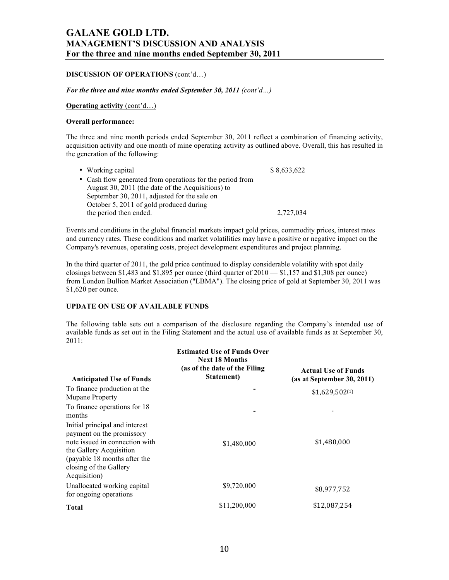# **DISCUSSION OF OPERATIONS** (cont'd…)

### *For the three and nine months ended September 30, 2011 (cont'd…)*

#### **Operating activity** (cont'd…)

### **Overall performance:**

The three and nine month periods ended September 30, 2011 reflect a combination of financing activity, acquisition activity and one month of mine operating activity as outlined above. Overall, this has resulted in the generation of the following:

| • Working capital                                         | \$8,633,622 |
|-----------------------------------------------------------|-------------|
| • Cash flow generated from operations for the period from |             |
| August 30, 2011 (the date of the Acquisitions) to         |             |
| September 30, 2011, adjusted for the sale on              |             |
| October 5, 2011 of gold produced during                   |             |
| the period then ended.                                    | 2,727,034   |

Events and conditions in the global financial markets impact gold prices, commodity prices, interest rates and currency rates. These conditions and market volatilities may have a positive or negative impact on the Company's revenues, operating costs, project development expenditures and project planning.

In the third quarter of 2011, the gold price continued to display considerable volatility with spot daily closings between \$1,483 and \$1,895 per ounce (third quarter of 2010 — \$1,157 and \$1,308 per ounce) from London Bullion Market Association ("LBMA"). The closing price of gold at September 30, 2011 was \$1,620 per ounce.

# **UPDATE ON USE OF AVAILABLE FUNDS**

The following table sets out a comparison of the disclosure regarding the Company's intended use of available funds as set out in the Filing Statement and the actual use of available funds as at September 30, 2011:

| <b>Anticipated Use of Funds</b>                                                                                                                                                                    | <b>Estimated Use of Funds Over</b><br><b>Next 18 Months</b><br>(as of the date of the Filing<br>Statement) | <b>Actual Use of Funds</b><br>(as at September 30, 2011) |
|----------------------------------------------------------------------------------------------------------------------------------------------------------------------------------------------------|------------------------------------------------------------------------------------------------------------|----------------------------------------------------------|
| To finance production at the<br>Mupane Property                                                                                                                                                    |                                                                                                            | $$1,629,502^{(1)}$                                       |
| To finance operations for 18<br>months                                                                                                                                                             |                                                                                                            |                                                          |
| Initial principal and interest<br>payment on the promissory<br>note issued in connection with<br>the Gallery Acquisition<br>(payable 18 months after the<br>closing of the Gallery<br>Acquisition) | \$1,480,000                                                                                                | \$1,480,000                                              |
| Unallocated working capital<br>for ongoing operations                                                                                                                                              | \$9,720,000                                                                                                | \$8,977,752                                              |
| Total                                                                                                                                                                                              | \$11,200,000                                                                                               | \$12.087.254                                             |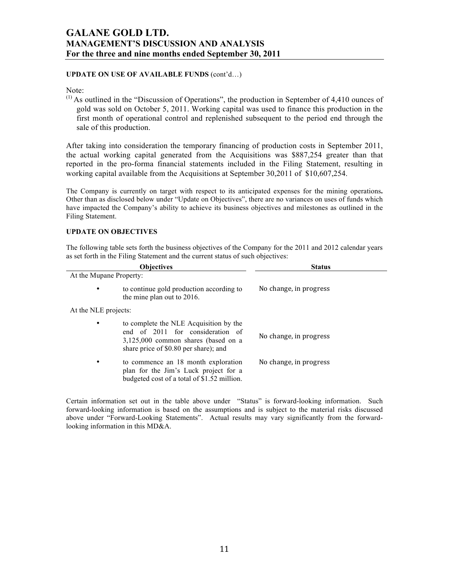# **UPDATE ON USE OF AVAILABLE FUNDS** (cont'd…)

Note:

 $<sup>(1)</sup>$  As outlined in the "Discussion of Operations", the production in September of 4,410 ounces of</sup> gold was sold on October 5, 2011. Working capital was used to finance this production in the first month of operational control and replenished subsequent to the period end through the sale of this production.

After taking into consideration the temporary financing of production costs in September 2011, the actual working capital generated from the Acquisitions was \$887,254 greater than that reported in the pro-forma financial statements included in the Filing Statement, resulting in working capital available from the Acquisitions at September 30,2011 of \$10,607,254.

The Company is currently on target with respect to its anticipated expenses for the mining operations**.** Other than as disclosed below under "Update on Objectives", there are no variances on uses of funds which have impacted the Company's ability to achieve its business objectives and milestones as outlined in the Filing Statement.

# **UPDATE ON OBJECTIVES**

The following table sets forth the business objectives of the Company for the 2011 and 2012 calendar years as set forth in the Filing Statement and the current status of such objectives:

|                         | <b>Objectives</b>                                                                                                                                          | <b>Status</b>          |  |
|-------------------------|------------------------------------------------------------------------------------------------------------------------------------------------------------|------------------------|--|
| At the Mupane Property: |                                                                                                                                                            |                        |  |
|                         | to continue gold production according to<br>the mine plan out to 2016.                                                                                     | No change, in progress |  |
| At the NLE projects:    |                                                                                                                                                            |                        |  |
|                         | to complete the NLE Acquisition by the<br>end of 2011 for consideration of<br>3,125,000 common shares (based on a<br>share price of \$0.80 per share); and | No change, in progress |  |
| $\bullet$               | to commence an 18 month exploration<br>plan for the Jim's Luck project for a<br>budgeted cost of a total of \$1.52 million.                                | No change, in progress |  |

Certain information set out in the table above under "Status" is forward-looking information. Such forward-looking information is based on the assumptions and is subject to the material risks discussed above under "Forward-Looking Statements". Actual results may vary significantly from the forwardlooking information in this MD&A.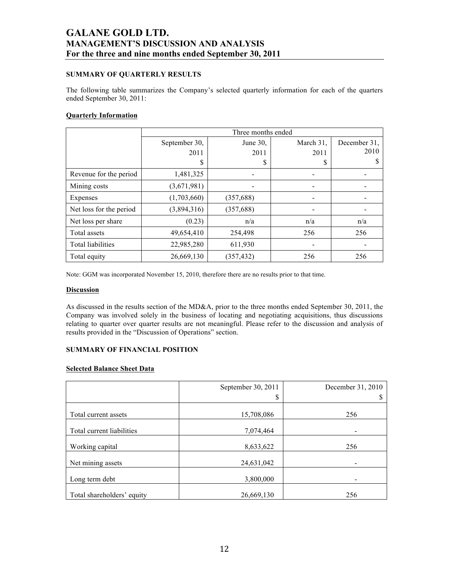# **SUMMARY OF QUARTERLY RESULTS**

The following table summarizes the Company's selected quarterly information for each of the quarters ended September 30, 2011:

# **Quarterly Information**

|                         | Three months ended |            |                |      |  |
|-------------------------|--------------------|------------|----------------|------|--|
|                         | September 30,      | June 30,   | March 31,      |      |  |
|                         | 2011               | 2011       | 2011           | 2010 |  |
|                         | \$                 | S          | S              | S    |  |
| Revenue for the period  | 1,481,325          |            |                |      |  |
| Mining costs            | (3,671,981)        |            |                |      |  |
| Expenses                | (1,703,660)        | (357, 688) | $\blacksquare$ |      |  |
| Net loss for the period | (3,894,316)        | (357, 688) | -              |      |  |
| Net loss per share      | (0.23)             | n/a        | n/a            | n/a  |  |
| Total assets            | 49,654,410         | 254,498    | 256            | 256  |  |
| Total liabilities       | 22,985,280         | 611,930    |                |      |  |
| Total equity            | 26,669,130         | (357, 432) | 256            | 256  |  |

Note: GGM was incorporated November 15, 2010, therefore there are no results prior to that time.

## **Discussion**

As discussed in the results section of the MD&A, prior to the three months ended September 30, 2011, the Company was involved solely in the business of locating and negotiating acquisitions, thus discussions relating to quarter over quarter results are not meaningful. Please refer to the discussion and analysis of results provided in the "Discussion of Operations" section.

#### **SUMMARY OF FINANCIAL POSITION**

#### **Selected Balance Sheet Data**

|                            | September 30, 2011 | December 31, 2010        |
|----------------------------|--------------------|--------------------------|
|                            | \$                 |                          |
| Total current assets       | 15,708,086         | 256                      |
| Total current liabilities  | 7,074,464          | $\overline{\phantom{0}}$ |
| Working capital            | 8,633,622          | 256                      |
| Net mining assets          | 24,631,042         | $\overline{\phantom{a}}$ |
| Long term debt             | 3,800,000          |                          |
| Total shareholders' equity | 26,669,130         | 256                      |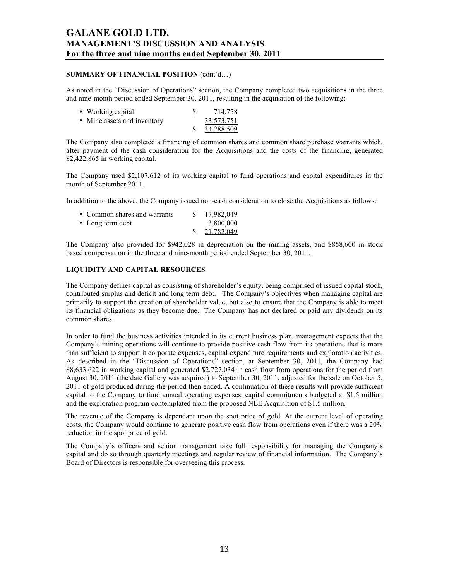# **SUMMARY OF FINANCIAL POSITION** (cont'd…)

As noted in the "Discussion of Operations" section, the Company completed two acquisitions in the three and nine-month period ended September 30, 2011, resulting in the acquisition of the following:

| • Working capital           | 714,758    |
|-----------------------------|------------|
| • Mine assets and inventory | 33,573,751 |
|                             | 34,288,509 |

The Company also completed a financing of common shares and common share purchase warrants which, after payment of the cash consideration for the Acquisitions and the costs of the financing, generated \$2,422,865 in working capital.

The Company used \$2,107,612 of its working capital to fund operations and capital expenditures in the month of September 2011.

In addition to the above, the Company issued non-cash consideration to close the Acquisitions as follows:

| • Common shares and warrants | 17,982,049 |
|------------------------------|------------|
| • Long term debt             | 3,800,000  |
|                              | 21.782.049 |

The Company also provided for \$942,028 in depreciation on the mining assets, and \$858,600 in stock based compensation in the three and nine-month period ended September 30, 2011.

# **LIQUIDITY AND CAPITAL RESOURCES**

The Company defines capital as consisting of shareholder's equity, being comprised of issued capital stock, contributed surplus and deficit and long term debt. The Company's objectives when managing capital are primarily to support the creation of shareholder value, but also to ensure that the Company is able to meet its financial obligations as they become due. The Company has not declared or paid any dividends on its common shares.

In order to fund the business activities intended in its current business plan, management expects that the Company's mining operations will continue to provide positive cash flow from its operations that is more than sufficient to support it corporate expenses, capital expenditure requirements and exploration activities. As described in the "Discussion of Operations" section, at September 30, 2011, the Company had \$8,633,622 in working capital and generated \$2,727,034 in cash flow from operations for the period from August 30, 2011 (the date Gallery was acquired) to September 30, 2011, adjusted for the sale on October 5, 2011 of gold produced during the period then ended. A continuation of these results will provide sufficient capital to the Company to fund annual operating expenses, capital commitments budgeted at \$1.5 million and the exploration program contemplated from the proposed NLE Acquisition of \$1.5 million.

The revenue of the Company is dependant upon the spot price of gold. At the current level of operating costs, the Company would continue to generate positive cash flow from operations even if there was a 20% reduction in the spot price of gold.

The Company's officers and senior management take full responsibility for managing the Company's capital and do so through quarterly meetings and regular review of financial information. The Company's Board of Directors is responsible for overseeing this process.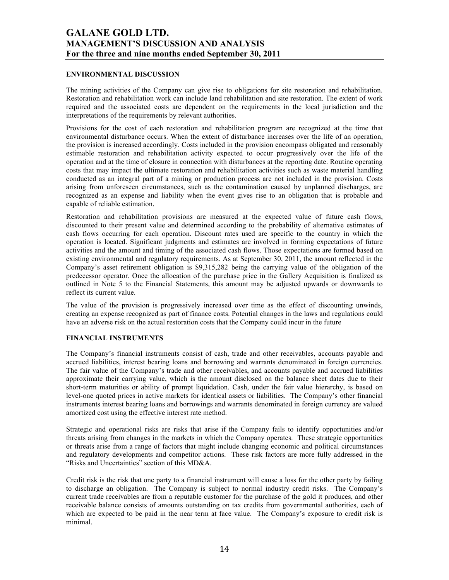# **ENVIRONMENTAL DISCUSSION**

The mining activities of the Company can give rise to obligations for site restoration and rehabilitation. Restoration and rehabilitation work can include land rehabilitation and site restoration. The extent of work required and the associated costs are dependent on the requirements in the local jurisdiction and the interpretations of the requirements by relevant authorities.

Provisions for the cost of each restoration and rehabilitation program are recognized at the time that environmental disturbance occurs. When the extent of disturbance increases over the life of an operation, the provision is increased accordingly. Costs included in the provision encompass obligated and reasonably estimable restoration and rehabilitation activity expected to occur progressively over the life of the operation and at the time of closure in connection with disturbances at the reporting date. Routine operating costs that may impact the ultimate restoration and rehabilitation activities such as waste material handling conducted as an integral part of a mining or production process are not included in the provision. Costs arising from unforeseen circumstances, such as the contamination caused by unplanned discharges, are recognized as an expense and liability when the event gives rise to an obligation that is probable and capable of reliable estimation.

Restoration and rehabilitation provisions are measured at the expected value of future cash flows, discounted to their present value and determined according to the probability of alternative estimates of cash flows occurring for each operation. Discount rates used are specific to the country in which the operation is located. Significant judgments and estimates are involved in forming expectations of future activities and the amount and timing of the associated cash flows. Those expectations are formed based on existing environmental and regulatory requirements. As at September 30, 2011, the amount reflected in the Company's asset retirement obligation is \$9,315,282 being the carrying value of the obligation of the predecessor operator. Once the allocation of the purchase price in the Gallery Acquisition is finalized as outlined in Note 5 to the Financial Statements, this amount may be adjusted upwards or downwards to reflect its current value.

The value of the provision is progressively increased over time as the effect of discounting unwinds, creating an expense recognized as part of finance costs. Potential changes in the laws and regulations could have an adverse risk on the actual restoration costs that the Company could incur in the future

# **FINANCIAL INSTRUMENTS**

The Company's financial instruments consist of cash, trade and other receivables, accounts payable and accrued liabilities, interest bearing loans and borrowing and warrants denominated in foreign currencies. The fair value of the Company's trade and other receivables, and accounts payable and accrued liabilities approximate their carrying value, which is the amount disclosed on the balance sheet dates due to their short-term maturities or ability of prompt liquidation. Cash, under the fair value hierarchy, is based on level-one quoted prices in active markets for identical assets or liabilities. The Company's other financial instruments interest bearing loans and borrowings and warrants denominated in foreign currency are valued amortized cost using the effective interest rate method.

Strategic and operational risks are risks that arise if the Company fails to identify opportunities and/or threats arising from changes in the markets in which the Company operates. These strategic opportunities or threats arise from a range of factors that might include changing economic and political circumstances and regulatory developments and competitor actions. These risk factors are more fully addressed in the "Risks and Uncertainties" section of this MD&A.

Credit risk is the risk that one party to a financial instrument will cause a loss for the other party by failing to discharge an obligation. The Company is subject to normal industry credit risks. The Company's current trade receivables are from a reputable customer for the purchase of the gold it produces, and other receivable balance consists of amounts outstanding on tax credits from governmental authorities, each of which are expected to be paid in the near term at face value. The Company's exposure to credit risk is minimal.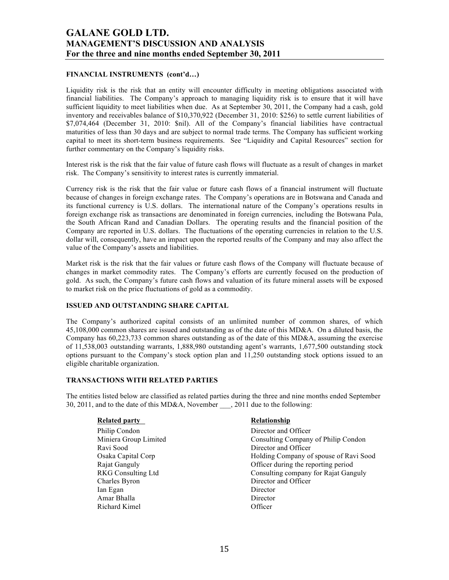# **FINANCIAL INSTRUMENTS (cont'd…)**

Liquidity risk is the risk that an entity will encounter difficulty in meeting obligations associated with financial liabilities. The Company's approach to managing liquidity risk is to ensure that it will have sufficient liquidity to meet liabilities when due. As at September 30, 2011, the Company had a cash, gold inventory and receivables balance of \$10,370,922 (December 31, 2010: \$256) to settle current liabilities of \$7,074,464 (December 31, 2010: \$nil). All of the Company's financial liabilities have contractual maturities of less than 30 days and are subject to normal trade terms. The Company has sufficient working capital to meet its short-term business requirements. See "Liquidity and Capital Resources" section for further commentary on the Company's liquidity risks.

Interest risk is the risk that the fair value of future cash flows will fluctuate as a result of changes in market risk. The Company's sensitivity to interest rates is currently immaterial.

Currency risk is the risk that the fair value or future cash flows of a financial instrument will fluctuate because of changes in foreign exchange rates. The Company's operations are in Botswana and Canada and its functional currency is U.S. dollars. The international nature of the Company's operations results in foreign exchange risk as transactions are denominated in foreign currencies, including the Botswana Pula, the South African Rand and Canadian Dollars. The operating results and the financial position of the Company are reported in U.S. dollars. The fluctuations of the operating currencies in relation to the U.S. dollar will, consequently, have an impact upon the reported results of the Company and may also affect the value of the Company's assets and liabilities.

Market risk is the risk that the fair values or future cash flows of the Company will fluctuate because of changes in market commodity rates. The Company's efforts are currently focused on the production of gold. As such, the Company's future cash flows and valuation of its future mineral assets will be exposed to market risk on the price fluctuations of gold as a commodity.

# **ISSUED AND OUTSTANDING SHARE CAPITAL**

The Company's authorized capital consists of an unlimited number of common shares, of which 45,108,000 common shares are issued and outstanding as of the date of this MD&A. On a diluted basis, the Company has 60,223,733 common shares outstanding as of the date of this MD&A, assuming the exercise of 11,538,003 outstanding warrants, 1,888,980 outstanding agent's warrants, 1,677,500 outstanding stock options pursuant to the Company's stock option plan and 11,250 outstanding stock options issued to an eligible charitable organization.

## **TRANSACTIONS WITH RELATED PARTIES**

The entities listed below are classified as related parties during the three and nine months ended September 30, 2011, and to the date of this MD&A, November, 2011 due to the following:

#### **Related party Relationship**

Philip Condon Director and Officer Ravi Sood Director and Officer Charles Byron Director and Officer Ian Egan Director Amar Bhalla **Director** Richard Kimel **Officer** 

Miniera Group Limited Consulting Company of Philip Condon Osaka Capital Corp Holding Company of spouse of Ravi Sood Rajat Ganguly Officer during the reporting period RKG Consulting Ltd Consulting company for Rajat Ganguly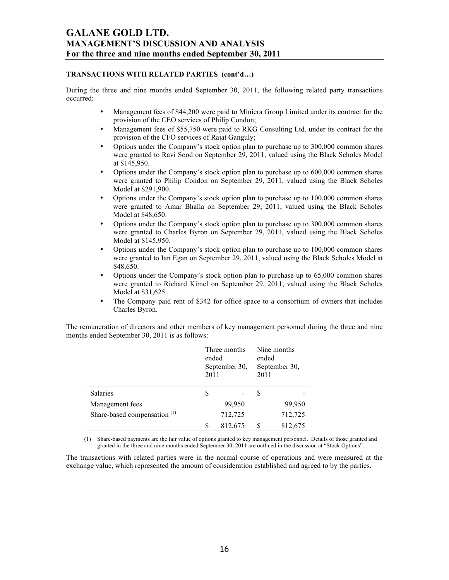# **TRANSACTIONS WITH RELATED PARTIES (cont'd…)**

During the three and nine months ended September 30, 2011, the following related party transactions occurred:

- Management fees of \$44,200 were paid to Miniera Group Limited under its contract for the provision of the CEO services of Philip Condon;
- Management fees of \$55,750 were paid to RKG Consulting Ltd. under its contract for the provision of the CFO services of Rajat Ganguly;
- Options under the Company's stock option plan to purchase up to 300,000 common shares were granted to Ravi Sood on September 29, 2011, valued using the Black Scholes Model at \$145,950.
- Options under the Company's stock option plan to purchase up to 600,000 common shares were granted to Philip Condon on September 29, 2011, valued using the Black Scholes Model at \$291,900.
- Options under the Company's stock option plan to purchase up to 100,000 common shares were granted to Amar Bhalla on September 29, 2011, valued using the Black Scholes Model at \$48,650.
- Options under the Company's stock option plan to purchase up to 300,000 common shares were granted to Charles Byron on September 29, 2011, valued using the Black Scholes Model at \$145,950.
- Options under the Company's stock option plan to purchase up to 100,000 common shares were granted to Ian Egan on September 29, 2011, valued using the Black Scholes Model at \$48,650.
- Options under the Company's stock option plan to purchase up to 65,000 common shares were granted to Richard Kimel on September 29, 2011, valued using the Black Scholes Model at \$31,625.
- The Company paid rent of \$342 for office space to a consortium of owners that includes Charles Byron.

The remuneration of directors and other members of key management personnel during the three and nine months ended September 30, 2011 is as follows:

|                                         | 2011 | Three months<br>ended<br>September 30, | ended<br>2011 | Nine months<br>September 30, |
|-----------------------------------------|------|----------------------------------------|---------------|------------------------------|
| Salaries                                |      | $\blacksquare$                         | P             | $\overline{\phantom{a}}$     |
| Management fees                         |      | 99,950                                 |               | 99,950                       |
| Share-based compensation <sup>(1)</sup> |      | 712,725                                |               | 712,725                      |
|                                         |      | 812,675                                |               | 812,675                      |

(1) Share-based payments are the fair value of options granted to key management personnel. Details of those granted and granted in the three and nine months ended September 30, 2011 are outlined in the discussion at "Stock Options".

The transactions with related parties were in the normal course of operations and were measured at the exchange value, which represented the amount of consideration established and agreed to by the parties.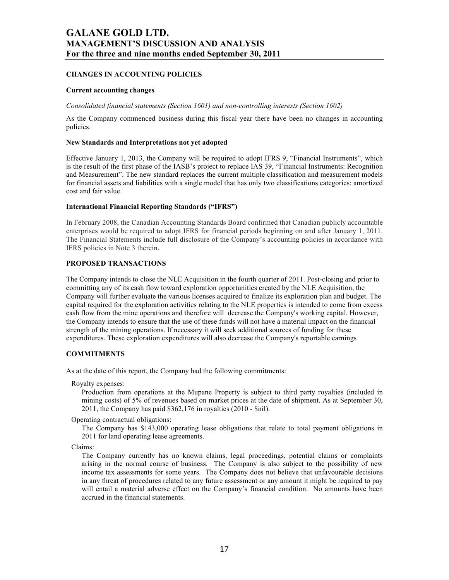# **CHANGES IN ACCOUNTING POLICIES**

#### **Current accounting changes**

#### *Consolidated financial statements (Section 1601) and non-controlling interests (Section 1602)*

As the Company commenced business during this fiscal year there have been no changes in accounting policies.

#### **New Standards and Interpretations not yet adopted**

Effective January 1, 2013, the Company will be required to adopt IFRS 9, "Financial Instruments", which is the result of the first phase of the IASB's project to replace IAS 39, "Financial Instruments: Recognition and Measurement". The new standard replaces the current multiple classification and measurement models for financial assets and liabilities with a single model that has only two classifications categories: amortized cost and fair value.

#### **International Financial Reporting Standards ("IFRS")**

In February 2008, the Canadian Accounting Standards Board confirmed that Canadian publicly accountable enterprises would be required to adopt IFRS for financial periods beginning on and after January 1, 2011. The Financial Statements include full disclosure of the Company's accounting policies in accordance with IFRS policies in Note 3 therein.

## **PROPOSED TRANSACTIONS**

The Company intends to close the NLE Acquisition in the fourth quarter of 2011. Post-closing and prior to committing any of its cash flow toward exploration opportunities created by the NLE Acquisition, the Company will further evaluate the various licenses acquired to finalize its exploration plan and budget. The capital required for the exploration activities relating to the NLE properties is intended to come from excess cash flow from the mine operations and therefore will decrease the Company's working capital. However, the Company intends to ensure that the use of these funds will not have a material impact on the financial strength of the mining operations. If necessary it will seek additional sources of funding for these expenditures. These exploration expenditures will also decrease the Company's reportable earnings

## **COMMITMENTS**

As at the date of this report, the Company had the following commitments:

Royalty expenses:

Production from operations at the Mupane Property is subject to third party royalties (included in mining costs) of 5% of revenues based on market prices at the date of shipment. As at September 30, 2011, the Company has paid \$362,176 in royalties (2010 - \$nil).

Operating contractual obligations:

The Company has \$143,000 operating lease obligations that relate to total payment obligations in 2011 for land operating lease agreements.

Claims:

The Company currently has no known claims, legal proceedings, potential claims or complaints arising in the normal course of business. The Company is also subject to the possibility of new income tax assessments for some years. The Company does not believe that unfavourable decisions in any threat of procedures related to any future assessment or any amount it might be required to pay will entail a material adverse effect on the Company's financial condition. No amounts have been accrued in the financial statements.